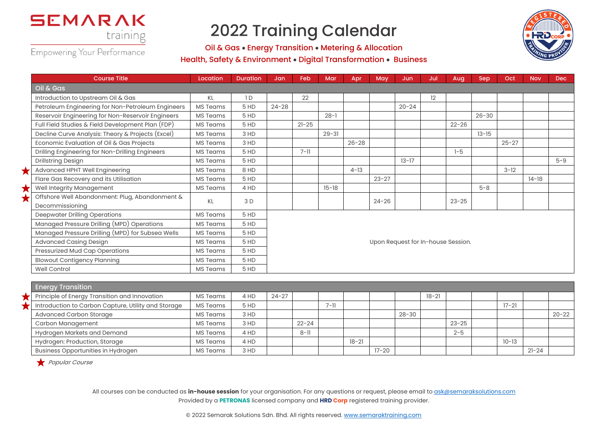



Empowering Your Performance

## Oil & Gas • Energy Transition • Metering & Allocation Health, Safety & Environment • Digital Transformation • Business

| <b>Course Title</b>                               | Location        | <b>Duration</b> | Jan       | Feb       | Mar       | Apr       | May       | Jun       | Jul | Aug                                | Sep       | Oct       | <b>Nov</b> | Dec     |
|---------------------------------------------------|-----------------|-----------------|-----------|-----------|-----------|-----------|-----------|-----------|-----|------------------------------------|-----------|-----------|------------|---------|
| Oil & Gas                                         |                 |                 |           |           |           |           |           |           |     |                                    |           |           |            |         |
| Introduction to Upstream Oil & Gas                | KL              | 1D              |           | 22        |           |           |           |           | 12  |                                    |           |           |            |         |
| Petroleum Engineering for Non-Petroleum Engineers | MS Teams        | 5 HD            | $24 - 28$ |           |           |           |           | $20 - 24$ |     |                                    |           |           |            |         |
| Reservoir Engineering for Non-Reservoir Engineers | MS Teams        | 5 HD            |           |           | $28 - 1$  |           |           |           |     |                                    | $26 - 30$ |           |            |         |
| Full Field Studies & Field Development Plan (FDP) | MS Teams        | 5 HD            |           | $21 - 25$ |           |           |           |           |     | $22 - 26$                          |           |           |            |         |
| Decline Curve Analysis: Theory & Projects (Excel) | MS Teams        | 3 HD            |           |           | $29 - 31$ |           |           |           |     |                                    | $13 - 15$ |           |            |         |
| Economic Evaluation of Oil & Gas Projects         | MS Teams        | 3 HD            |           |           |           | $26 - 28$ |           |           |     |                                    |           | $25 - 27$ |            |         |
| Drilling Engineering for Non-Drilling Engineers   | MS Teams        | 5 HD            |           | $7 - 11$  |           |           |           |           |     | $1 - 5$                            |           |           |            |         |
| <b>Drillstring Design</b>                         | MS Teams        | 5 HD            |           |           |           |           |           | $13 - 17$ |     |                                    |           |           |            | $5 - 9$ |
| Advanced HPHT Well Engineering                    | <b>MS Teams</b> | 8 HD            |           |           |           | $4 - 13$  |           |           |     |                                    |           | $3 - 12$  |            |         |
| Flare Gas Recovery and its Utilisation            | MS Teams        | 5 HD            |           |           |           |           | $23 - 27$ |           |     |                                    |           |           | $14-18$    |         |
| Well Integrity Management                         | MS Teams        | 4 HD            |           |           | $15 - 18$ |           |           |           |     |                                    | $5 - 8$   |           |            |         |
| Offshore Well Abandonment: Plug, Abandonment &    | KL              | 3 D             |           |           |           |           | $24 - 26$ |           |     | $23 - 25$                          |           |           |            |         |
| Decommissioning                                   |                 |                 |           |           |           |           |           |           |     |                                    |           |           |            |         |
| <b>Deepwater Drilling Operations</b>              | MS Teams        | 5 HD            |           |           |           |           |           |           |     |                                    |           |           |            |         |
| Managed Pressure Drilling (MPD) Operations        | MS Teams        | 5 HD            |           |           |           |           |           |           |     |                                    |           |           |            |         |
| Managed Pressure Drilling (MPD) for Subsea Wells  | MS Teams        | 5 HD            |           |           |           |           |           |           |     |                                    |           |           |            |         |
| <b>Advanced Casing Design</b>                     | MS Teams        | 5 HD            |           |           |           |           |           |           |     | Upon Request for In-house Session. |           |           |            |         |
| Pressurized Mud Cap Operations                    | MS Teams        | 5 HD            |           |           |           |           |           |           |     |                                    |           |           |            |         |
| <b>Blowout Contigency Planning</b>                | <b>MS Teams</b> | 5 HD            |           |           |           |           |           |           |     |                                    |           |           |            |         |
| Well Control                                      | MS Teams        | 5 HD            |           |           |           |           |           |           |     |                                    |           |           |            |         |

| <b>Energy Transition</b>                            |                 |      |           |           |          |           |           |           |           |           |           |           |           |
|-----------------------------------------------------|-----------------|------|-----------|-----------|----------|-----------|-----------|-----------|-----------|-----------|-----------|-----------|-----------|
| Principle of Energy Transition and Innovation       | <b>MS Teams</b> | 4 HD | $24 - 27$ |           |          |           |           |           | $18 - 21$ |           |           |           |           |
| Introduction to Carbon Capture, Utility and Storage | <b>MS Teams</b> | 5HD  |           |           | $7 - 11$ |           |           |           |           |           | $17 - 21$ |           |           |
| <b>Advanced Carbon Storage</b>                      | MS Teams        | 3 HD |           |           |          |           |           | $28 - 30$ |           |           |           |           | $20 - 22$ |
| Carbon Management                                   | <b>MS Teams</b> | 3 HD |           | $22 - 24$ |          |           |           |           |           | $23 - 25$ |           |           |           |
| Hydrogen Markets and Demand                         | <b>MS Teams</b> | 4 HD |           | $8 - 11$  |          |           |           |           |           | $2 - 5$   |           |           |           |
| Hydrogen: Production, Storage                       | <b>MS Teams</b> | 4 HD |           |           |          | $18 - 21$ |           |           |           |           | $10 - 13$ |           |           |
| Business Opportunities in Hydrogen                  | <b>MS Teams</b> | 3 HD |           |           |          |           | $17 - 20$ |           |           |           |           | $21 - 24$ |           |

Popular Course

J.

All courses can be conducted as *in-house session* for your organisation. For any questions or request, please email to ask@semaraksolutions.com Provided by a **PETRONAS** licensed company and **HRD Corp** registered training provider.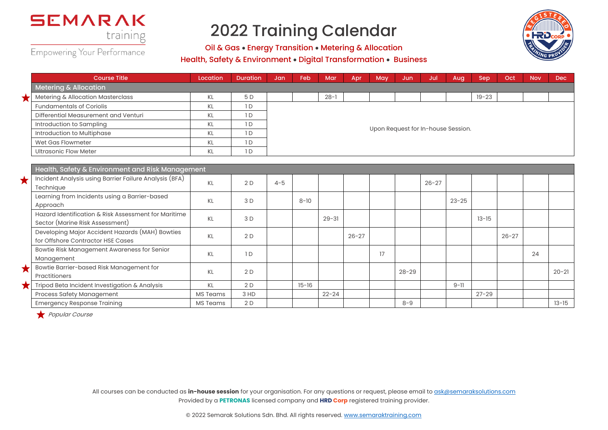

Empowering Your Performance

Oil & Gas • Energy Transition • Metering & Allocation



Health, Safety & Environment • Digital Transformation • Business

| Course Title                                                                                                                                                                                                                   | Location | <b>Duration</b> | Jan     | Feb      | Mar       | Apr       | May | Jun                                | Jul       | Aug       | <b>Sep</b> | Oct       | <b>Nov</b> | Dec. |
|--------------------------------------------------------------------------------------------------------------------------------------------------------------------------------------------------------------------------------|----------|-----------------|---------|----------|-----------|-----------|-----|------------------------------------|-----------|-----------|------------|-----------|------------|------|
| Metering & Allocation                                                                                                                                                                                                          |          |                 |         |          |           |           |     |                                    |           |           |            |           |            |      |
| Metering & Allocation Masterclass                                                                                                                                                                                              | KL       | 5 D             |         |          | $28 - 1$  |           |     |                                    |           |           | $19 - 23$  |           |            |      |
| <b>Fundamentals of Coriolis</b>                                                                                                                                                                                                | KL       | 1D              |         |          |           |           |     |                                    |           |           |            |           |            |      |
| Differential Measurement and Venturi                                                                                                                                                                                           | KL       | 1D              |         |          |           |           |     |                                    |           |           |            |           |            |      |
| Introduction to Sampling                                                                                                                                                                                                       | KL       | 1D              |         |          |           |           |     | Upon Request for In-house Session. |           |           |            |           |            |      |
| Introduction to Multiphase                                                                                                                                                                                                     | KL       | 1D              |         |          |           |           |     |                                    |           |           |            |           |            |      |
| Wet Gas Flowmeter                                                                                                                                                                                                              | KL       | 1D              |         |          |           |           |     |                                    |           |           |            |           |            |      |
| <b>Ultrasonic Flow Meter</b>                                                                                                                                                                                                   | KL       | 1D              |         |          |           |           |     |                                    |           |           |            |           |            |      |
|                                                                                                                                                                                                                                |          |                 |         |          |           |           |     |                                    |           |           |            |           |            |      |
| Health, Safety & Environment and Risk Management                                                                                                                                                                               |          |                 |         |          |           |           |     |                                    |           |           |            |           |            |      |
| Incident Analysis using Barrier Failure Analysis (BFA)                                                                                                                                                                         | KL       | 2D              | $4 - 5$ |          |           |           |     |                                    | $26 - 27$ |           |            |           |            |      |
| Technique                                                                                                                                                                                                                      |          |                 |         |          |           |           |     |                                    |           |           |            |           |            |      |
| Learning from Incidents using a Barrier-based                                                                                                                                                                                  | KL       | 3D              |         | $8 - 10$ |           |           |     |                                    |           | $23 - 25$ |            |           |            |      |
| Approach                                                                                                                                                                                                                       |          |                 |         |          |           |           |     |                                    |           |           |            |           |            |      |
| Hazard Identification & Risk Assessment for Maritime                                                                                                                                                                           | KL       | 3 D             |         |          | $29 - 31$ |           |     |                                    |           |           | $13 - 15$  |           |            |      |
| Sector (Marine Risk Assessment)                                                                                                                                                                                                |          |                 |         |          |           |           |     |                                    |           |           |            |           |            |      |
| Developing Major Accident Hazards (MAH) Bowties                                                                                                                                                                                | KL       | 2D              |         |          |           | $26 - 27$ |     |                                    |           |           |            | $26 - 27$ |            |      |
| for Offshore Contractor HSE Cases                                                                                                                                                                                              |          |                 |         |          |           |           |     |                                    |           |           |            |           |            |      |
| Bowtie Risk Management Awareness for Senior                                                                                                                                                                                    | KL       | 1 <sub>D</sub>  |         |          |           |           | 17  |                                    |           |           |            |           | 24         |      |
| A discussion of the contract of the Association of the Contract of the Contract of the Contract of the Contract of the Contract of the Contract of the Contract of the Contract of the Contract of the Contract of the Contrac |          |                 |         |          |           |           |     |                                    |           |           |            |           |            |      |

Practitioners Recommendating Practitioners (Recommendating Recommendating Practitioners (20-21 20-21 20-21 20-21 20-21 20-21 20-21 20-21 20-21 20-21 20-21 20-21 20-21 20-21 20-21 20-21 20-21 20-21 20-21 20-21 20-21 20-21 2

Emergency Response Training MS Teams 2 D 8-9 13-15

Tripod Beta Incident Investigation & Analysis | KL | 2 D | 15-16 | | | | | | | | | 9-11

Process Safety Management NS Teams 3 HD 22-24 22-24 27-29

Popular Course

Bowtie Barrier-based Risk Management for

Management

 $\overline{\phantom{0}}$ 

All courses can be conducted as *in-house session* for your organisation. For any questions or request, please email to ask@semaraksolutions.com Provided by a **PETRONAS** licensed company and **HRD Corp** registered training provider.

© 2022 Semarak Solutions Sdn. Bhd. All rights reserved. www.semaraktraining.com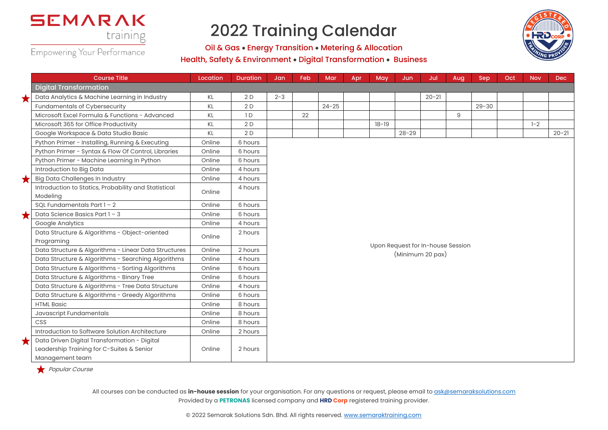

Empowering Your Performance

Oil & Gas • Energy Transition • Metering & Allocation Health, Safety & Environment • Digital Transformation • Business



|   | <b>Course Title</b>                                                                                          | Location | <b>Duration</b> | Jan     | Feb | Mar       | Apr | May       | Jun       | Jul                               | Aug | Sep       | Oct | <b>Nov</b> | Dec       |  |  |
|---|--------------------------------------------------------------------------------------------------------------|----------|-----------------|---------|-----|-----------|-----|-----------|-----------|-----------------------------------|-----|-----------|-----|------------|-----------|--|--|
|   | <b>Digital Transformation</b>                                                                                |          |                 |         |     |           |     |           |           |                                   |     |           |     |            |           |  |  |
| ★ | Data Analytics & Machine Learning in Industry                                                                | KL       | 2D              | $2 - 3$ |     |           |     |           |           | $20 - 21$                         |     |           |     |            |           |  |  |
|   | Fundamentals of Cybersecurity                                                                                | KL       | 2D              |         |     | $24 - 25$ |     |           |           |                                   |     | $29 - 30$ |     |            |           |  |  |
|   | Microsoft Excel Formula & Functions - Advanced                                                               | KL       | 1 D             |         | 22  |           |     |           |           |                                   | 9   |           |     |            |           |  |  |
|   | Microsoft 365 for Office Productivity                                                                        | KL       | 2D              |         |     |           |     | $18 - 19$ |           |                                   |     |           |     | $1 - 2$    |           |  |  |
|   | Google Workspace & Data Studio Basic                                                                         | KL       | 2D              |         |     |           |     |           | $28 - 29$ |                                   |     |           |     |            | $20 - 21$ |  |  |
|   | Python Primer - Installing, Running & Executing                                                              | Online   | 6 hours         |         |     |           |     |           |           |                                   |     |           |     |            |           |  |  |
|   | Python Primer - Syntax & Flow Of Control, Libraries                                                          | Online   | 6 hours         |         |     |           |     |           |           |                                   |     |           |     |            |           |  |  |
|   | Python Primer - Machine Learning In Python                                                                   | Online   | 6 hours         |         |     |           |     |           |           |                                   |     |           |     |            |           |  |  |
|   | Introduction to Big Data                                                                                     | Online   | 4 hours         |         |     |           |     |           |           |                                   |     |           |     |            |           |  |  |
| × | Big Data Challenges In Industry                                                                              | Online   | 4 hours         |         |     |           |     |           |           |                                   |     |           |     |            |           |  |  |
|   | Introduction to Statics, Probability and Statistical<br>Modeling                                             | Online   | 4 hours         |         |     |           |     |           |           |                                   |     |           |     |            |           |  |  |
|   | SQL Fundamentals Part $1 - 2$                                                                                | Online   | 6 hours         |         |     |           |     |           |           |                                   |     |           |     |            |           |  |  |
| Х | Data Science Basics Part 1 - 3                                                                               | Online   | 6 hours         |         |     |           |     |           |           |                                   |     |           |     |            |           |  |  |
|   | Google Analytics                                                                                             | Online   | 4 hours         |         |     |           |     |           |           |                                   |     |           |     |            |           |  |  |
|   | Data Structure & Algorithms - Object-oriented<br>Programing                                                  | Online   | 2 hours         |         |     |           |     |           |           |                                   |     |           |     |            |           |  |  |
|   | Data Structure & Algorithms - Linear Data Structures                                                         | Online   | 2 hours         |         |     |           |     |           |           | Upon Request for In-house Session |     |           |     |            |           |  |  |
|   | Data Structure & Algorithms - Searching Algorithms                                                           | Online   | 4 hours         |         |     |           |     |           |           | (Minimum 20 pax)                  |     |           |     |            |           |  |  |
|   | Data Structure & Algorithms - Sorting Algorithms                                                             | Online   | 6 hours         |         |     |           |     |           |           |                                   |     |           |     |            |           |  |  |
|   | Data Structure & Algorithms - Binary Tree                                                                    | Online   | 6 hours         |         |     |           |     |           |           |                                   |     |           |     |            |           |  |  |
|   | Data Structure & Algorithms - Tree Data Structure                                                            | Online   | 4 hours         |         |     |           |     |           |           |                                   |     |           |     |            |           |  |  |
|   | Data Structure & Algorithms - Greedy Algorithms                                                              | Online   | 6 hours         |         |     |           |     |           |           |                                   |     |           |     |            |           |  |  |
|   | <b>HTML Basic</b>                                                                                            | Online   | 8 hours         |         |     |           |     |           |           |                                   |     |           |     |            |           |  |  |
|   | Javascript Fundamentals                                                                                      | Online   | 8 hours         |         |     |           |     |           |           |                                   |     |           |     |            |           |  |  |
|   | <b>CSS</b>                                                                                                   | Online   | 8 hours         |         |     |           |     |           |           |                                   |     |           |     |            |           |  |  |
|   | Introduction to Software Solution Architecture                                                               | Online   | 2 hours         |         |     |           |     |           |           |                                   |     |           |     |            |           |  |  |
| ★ | Data Driven Digital Transformation - Digital<br>Leadership Training for C-Suites & Senior<br>Management team | Online   | 2 hours         |         |     |           |     |           |           |                                   |     |           |     |            |           |  |  |

Popular Course

All courses can be conducted as *in-house session* for your organisation. For any questions or request, please email to ask@semaraksolutions.com Provided by a **PETRONAS** licensed company and **HRD Corp** registered training provider.